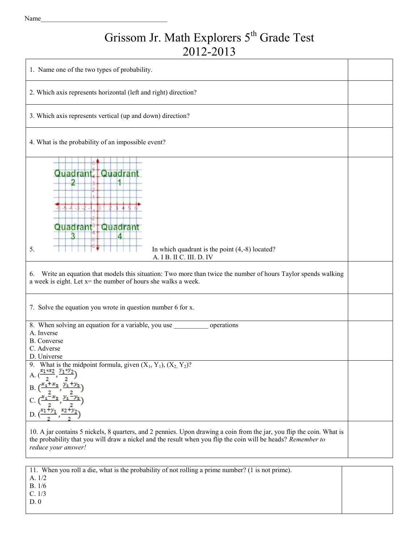## Grissom Jr. Math Explorers 5<sup>th</sup> Grade Test 2012-2013

| 1. Name one of the two types of probability.                                                                                                                                                                                                                                                                  |  |  |  |  |  |  |  |
|---------------------------------------------------------------------------------------------------------------------------------------------------------------------------------------------------------------------------------------------------------------------------------------------------------------|--|--|--|--|--|--|--|
| 2. Which axis represents horizontal (left and right) direction?                                                                                                                                                                                                                                               |  |  |  |  |  |  |  |
| 3. Which axis represents vertical (up and down) direction?                                                                                                                                                                                                                                                    |  |  |  |  |  |  |  |
| 4. What is the probability of an impossible event?                                                                                                                                                                                                                                                            |  |  |  |  |  |  |  |
| <b>Quadrant, Quadrant</b><br>$5 - 4 - 3$<br>Quadrant<br>Quadrant<br>In which quadrant is the point $(4,-8)$ located?<br>5.<br>A. I B. II C. III. D. IV                                                                                                                                                        |  |  |  |  |  |  |  |
| Write an equation that models this situation: Two more than twice the number of hours Taylor spends walking<br>6.<br>a week is eight. Let x= the number of hours she walks a week.                                                                                                                            |  |  |  |  |  |  |  |
| 7. Solve the equation you wrote in question number 6 for x.                                                                                                                                                                                                                                                   |  |  |  |  |  |  |  |
| 8. When solving an equation for a variable, you use<br>operations<br>A. Inverse<br><b>B.</b> Converse<br>C. Adverse<br>D. Universe                                                                                                                                                                            |  |  |  |  |  |  |  |
| 9. What is the midpoint formula, given $(X_1, Y_1), (X_2, Y_2)$ ?<br>A. $\left(\frac{x_1*x_2}{2}, \frac{y_1*y_2}{2}\right)$<br>B. $\left(\frac{x_1+x_2}{2}, \frac{y_1+y_2}{2}\right)$<br>C. $\left(\frac{x_1 - x_2}{2}, \frac{y_1 - y_2}{2}\right)$<br>D. $\left(\frac{x_1+y_1}{2}, \frac{x_2+y_2}{2}\right)$ |  |  |  |  |  |  |  |
| 10. A jar contains 5 nickels, 8 quarters, and 2 pennies. Upon drawing a coin from the jar, you flip the coin. What is<br>the probability that you will draw a nickel and the result when you flip the coin will be heads? Remember to<br>reduce your answer!                                                  |  |  |  |  |  |  |  |

11. When you roll a die, what is the probability of not rolling a prime number? (1 is not prime). A. 1/2 B. 1/6 C. 1/3 D. 0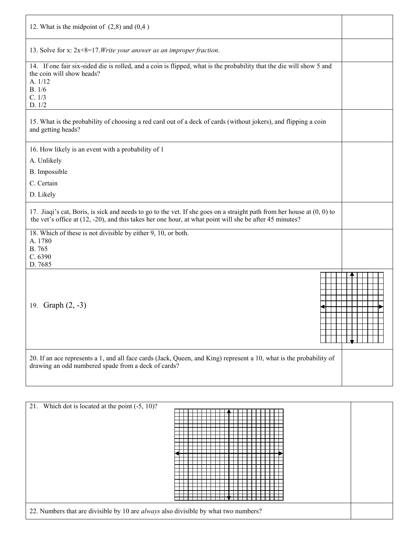| 12. What is the midpoint of $(2,8)$ and $(0,4)$                                                                                                                                                                                      |  |
|--------------------------------------------------------------------------------------------------------------------------------------------------------------------------------------------------------------------------------------|--|
| 13. Solve for x: $2x+8=17$ . Write your answer as an improper fraction.                                                                                                                                                              |  |
| 14. If one fair six-sided die is rolled, and a coin is flipped, what is the probability that the die will show 5 and<br>the coin will show heads?<br>A. 1/12<br>B. 1/6<br>C. 1/3<br>D. 1/2                                           |  |
| 15. What is the probability of choosing a red card out of a deck of cards (without jokers), and flipping a coin<br>and getting heads?                                                                                                |  |
| 16. How likely is an event with a probability of 1                                                                                                                                                                                   |  |
| A. Unlikely                                                                                                                                                                                                                          |  |
| B. Impossible                                                                                                                                                                                                                        |  |
| C. Certain                                                                                                                                                                                                                           |  |
| D. Likely                                                                                                                                                                                                                            |  |
| 17. Jiaqi's cat, Boris, is sick and needs to go to the vet. If she goes on a straight path from her house at (0, 0) to<br>the vet's office at $(12, -20)$ , and this takes her one hour, at what point will she be after 45 minutes? |  |
| 18. Which of these is not divisible by either $\overline{9, 10, 00}$ both.<br>A. 1780<br>B. 765<br>C. 6390                                                                                                                           |  |
| D. 7685                                                                                                                                                                                                                              |  |
| 19. Graph $(2, -3)$                                                                                                                                                                                                                  |  |
| 20. If an ace represents a 1, and all face cards (Jack, Queen, and King) represent a 10, what is the probability of<br>drawing an odd numbered spade from a deck of cards?                                                           |  |

| 21. Which dot is located at the point (-5, 10)?                                     |  |  |  |  |  |  |  |  |
|-------------------------------------------------------------------------------------|--|--|--|--|--|--|--|--|
|                                                                                     |  |  |  |  |  |  |  |  |
|                                                                                     |  |  |  |  |  |  |  |  |
|                                                                                     |  |  |  |  |  |  |  |  |
|                                                                                     |  |  |  |  |  |  |  |  |
|                                                                                     |  |  |  |  |  |  |  |  |
|                                                                                     |  |  |  |  |  |  |  |  |
|                                                                                     |  |  |  |  |  |  |  |  |
|                                                                                     |  |  |  |  |  |  |  |  |
|                                                                                     |  |  |  |  |  |  |  |  |
|                                                                                     |  |  |  |  |  |  |  |  |
|                                                                                     |  |  |  |  |  |  |  |  |
|                                                                                     |  |  |  |  |  |  |  |  |
|                                                                                     |  |  |  |  |  |  |  |  |
|                                                                                     |  |  |  |  |  |  |  |  |
|                                                                                     |  |  |  |  |  |  |  |  |
|                                                                                     |  |  |  |  |  |  |  |  |
|                                                                                     |  |  |  |  |  |  |  |  |
|                                                                                     |  |  |  |  |  |  |  |  |
|                                                                                     |  |  |  |  |  |  |  |  |
|                                                                                     |  |  |  |  |  |  |  |  |
|                                                                                     |  |  |  |  |  |  |  |  |
|                                                                                     |  |  |  |  |  |  |  |  |
|                                                                                     |  |  |  |  |  |  |  |  |
|                                                                                     |  |  |  |  |  |  |  |  |
|                                                                                     |  |  |  |  |  |  |  |  |
| 22. Numbers that are divisible by 10 are always also divisible by what two numbers? |  |  |  |  |  |  |  |  |